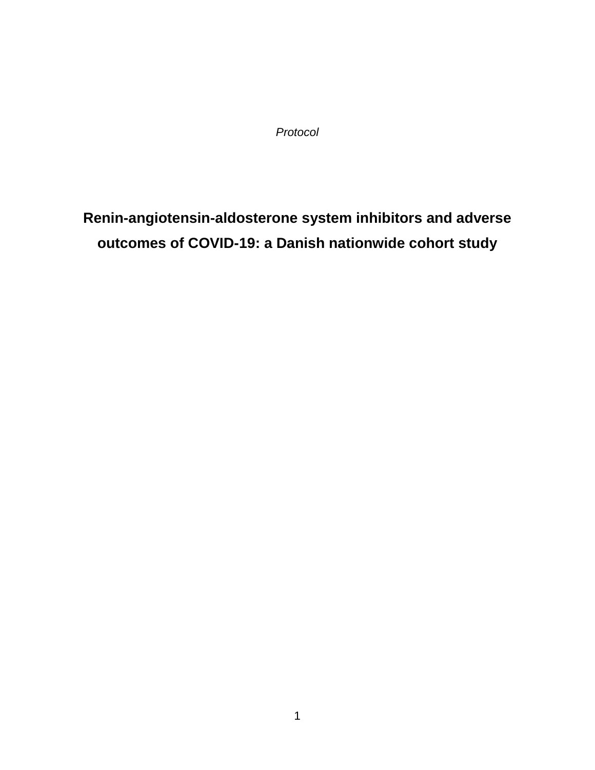*Protocol*

**Renin-angiotensin-aldosterone system inhibitors and adverse outcomes of COVID-19: a Danish nationwide cohort study**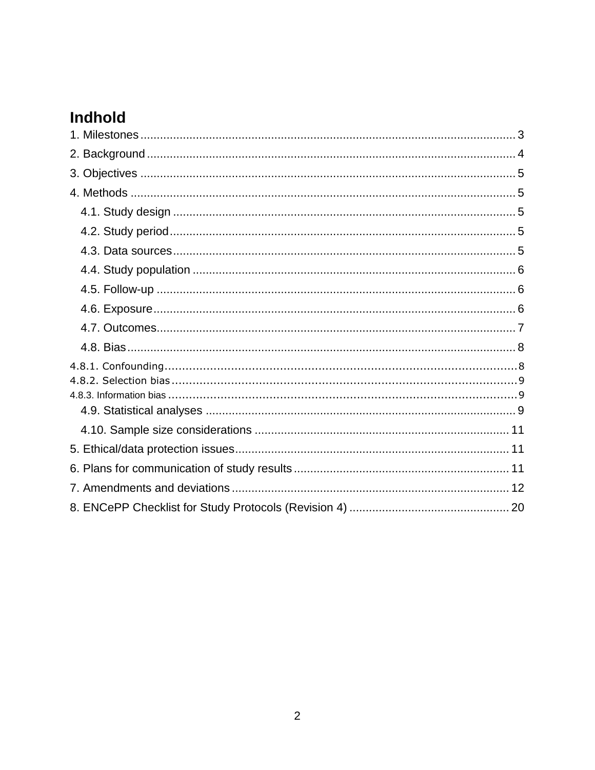# Indhold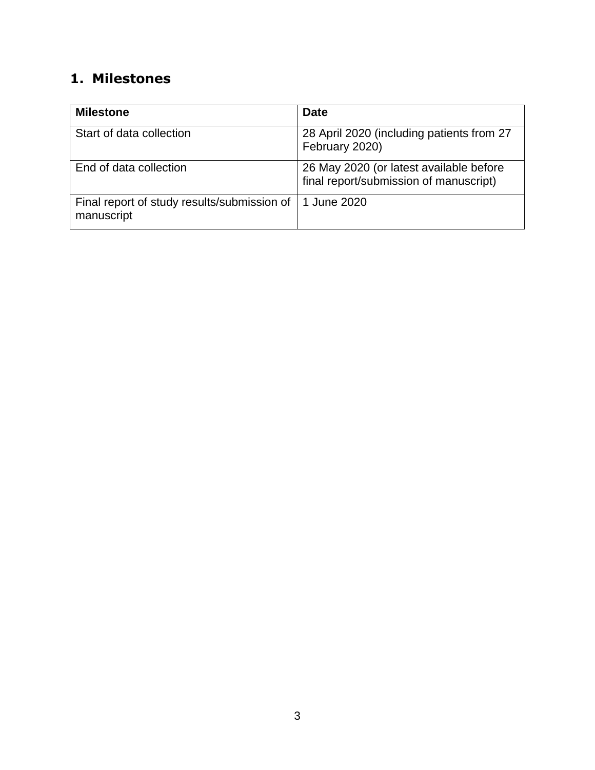# <span id="page-2-0"></span>**1. Milestones**

| <b>Milestone</b>                                          | <b>Date</b>                                                                       |
|-----------------------------------------------------------|-----------------------------------------------------------------------------------|
| Start of data collection                                  | 28 April 2020 (including patients from 27<br>February 2020)                       |
| End of data collection                                    | 26 May 2020 (or latest available before<br>final report/submission of manuscript) |
| Final report of study results/submission of<br>manuscript | 1 June 2020                                                                       |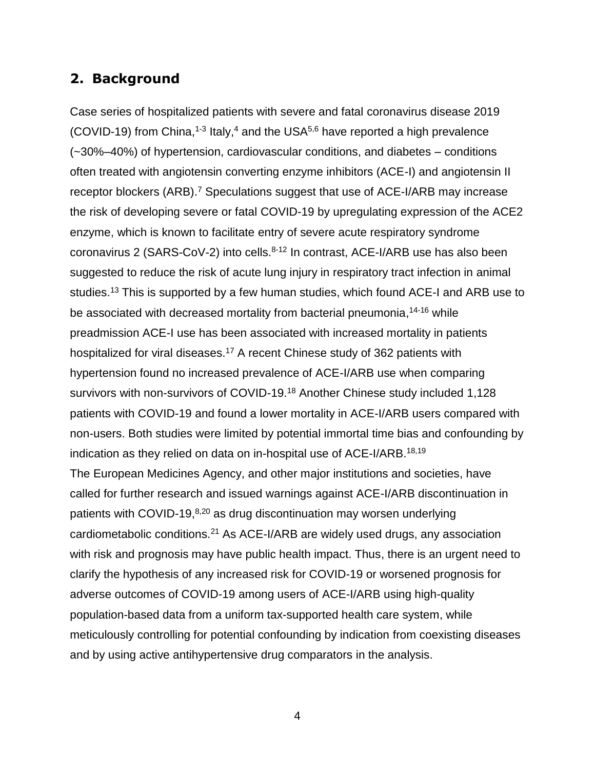# <span id="page-3-0"></span>**2. Background**

Case series of hospitalized patients with severe and fatal coronavirus disease 2019 (COVID-19) from China,<sup>1-3</sup> Italy,<sup>4</sup> and the USA<sup>5,6</sup> have reported a high prevalence (~30%–40%) of hypertension, cardiovascular conditions, and diabetes – conditions often treated with angiotensin converting enzyme inhibitors (ACE-I) and angiotensin II receptor blockers (ARB).<sup>7</sup> Speculations suggest that use of ACE-I/ARB may increase the risk of developing severe or fatal COVID-19 by upregulating expression of the ACE2 enzyme, which is known to facilitate entry of severe acute respiratory syndrome coronavirus 2 (SARS-CoV-2) into cells.<sup>8-12</sup> In contrast, ACE-I/ARB use has also been suggested to reduce the risk of acute lung injury in respiratory tract infection in animal studies.<sup>13</sup> This is supported by a few human studies, which found ACE-I and ARB use to be associated with decreased mortality from bacterial pneumonia,<sup>14-16</sup> while preadmission ACE-I use has been associated with increased mortality in patients hospitalized for viral diseases.<sup>17</sup> A recent Chinese study of 362 patients with hypertension found no increased prevalence of ACE-I/ARB use when comparing survivors with non-survivors of COVID-19.<sup>18</sup> Another Chinese study included 1,128 patients with COVID-19 and found a lower mortality in ACE-I/ARB users compared with non-users. Both studies were limited by potential immortal time bias and confounding by indication as they relied on data on in-hospital use of ACE-I/ARB.<sup>18,19</sup> The European Medicines Agency, and other major institutions and societies, have called for further research and issued warnings against ACE-I/ARB discontinuation in patients with COVID-19,<sup>8,20</sup> as drug discontinuation may worsen underlying cardiometabolic conditions.<sup>21</sup> As ACE-I/ARB are widely used drugs, any association with risk and prognosis may have public health impact. Thus, there is an urgent need to clarify the hypothesis of any increased risk for COVID-19 or worsened prognosis for adverse outcomes of COVID-19 among users of ACE-I/ARB using high-quality population-based data from a uniform tax-supported health care system, while meticulously controlling for potential confounding by indication from coexisting diseases and by using active antihypertensive drug comparators in the analysis.

4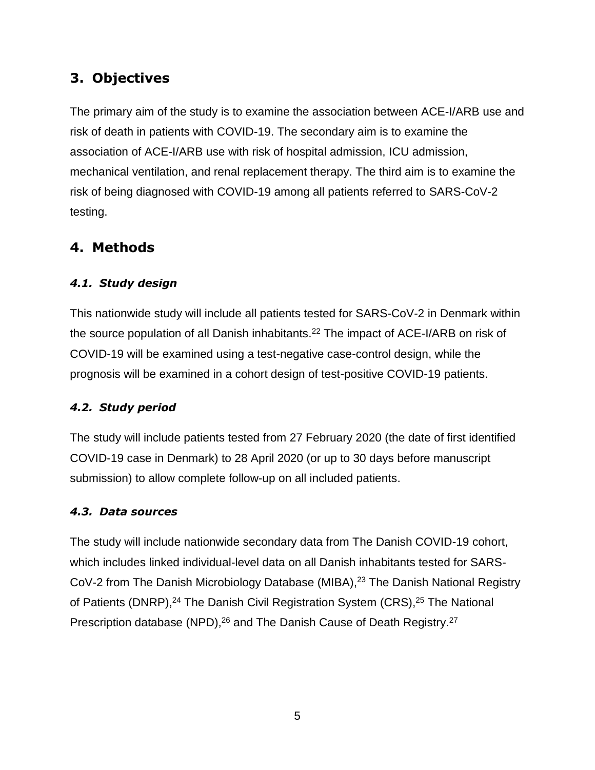# <span id="page-4-0"></span>**3. Objectives**

The primary aim of the study is to examine the association between ACE-I/ARB use and risk of death in patients with COVID-19. The secondary aim is to examine the association of ACE-I/ARB use with risk of hospital admission, ICU admission, mechanical ventilation, and renal replacement therapy. The third aim is to examine the risk of being diagnosed with COVID-19 among all patients referred to SARS-CoV-2 testing.

# <span id="page-4-1"></span>**4. Methods**

## <span id="page-4-2"></span>*4.1. Study design*

This nationwide study will include all patients tested for SARS-CoV-2 in Denmark within the source population of all Danish inhabitants. <sup>22</sup> The impact of ACE-I/ARB on risk of COVID-19 will be examined using a test-negative case-control design, while the prognosis will be examined in a cohort design of test-positive COVID-19 patients.

### <span id="page-4-3"></span>*4.2. Study period*

The study will include patients tested from 27 February 2020 (the date of first identified COVID-19 case in Denmark) to 28 April 2020 (or up to 30 days before manuscript submission) to allow complete follow-up on all included patients.

### <span id="page-4-4"></span>*4.3. Data sources*

The study will include nationwide secondary data from The Danish COVID-19 cohort, which includes linked individual-level data on all Danish inhabitants tested for SARS-CoV-2 from The Danish Microbiology Database (MIBA), <sup>23</sup> The Danish National Registry of Patients (DNRP),<sup>24</sup> The Danish Civil Registration System (CRS),<sup>25</sup> The National Prescription database (NPD),<sup>26</sup> and The Danish Cause of Death Registry.<sup>27</sup>

5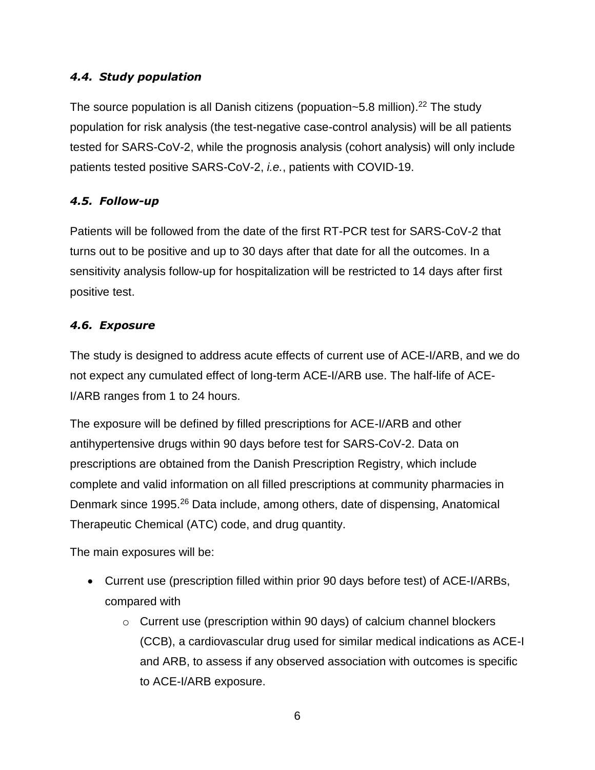#### <span id="page-5-0"></span>*4.4. Study population*

The source population is all Danish citizens (popuation~5.8 million).<sup>22</sup> The study population for risk analysis (the test-negative case-control analysis) will be all patients tested for SARS-CoV-2, while the prognosis analysis (cohort analysis) will only include patients tested positive SARS-CoV-2, *i.e.*, patients with COVID-19.

#### <span id="page-5-1"></span>*4.5. Follow-up*

Patients will be followed from the date of the first RT-PCR test for SARS-CoV-2 that turns out to be positive and up to 30 days after that date for all the outcomes. In a sensitivity analysis follow-up for hospitalization will be restricted to 14 days after first positive test.

#### <span id="page-5-2"></span>*4.6. Exposure*

The study is designed to address acute effects of current use of ACE-I/ARB, and we do not expect any cumulated effect of long-term ACE-I/ARB use. The half-life of ACE-I/ARB ranges from 1 to 24 hours.

The exposure will be defined by filled prescriptions for ACE-I/ARB and other antihypertensive drugs within 90 days before test for SARS-CoV-2. Data on prescriptions are obtained from the Danish Prescription Registry, which include complete and valid information on all filled prescriptions at community pharmacies in Denmark since 1995.<sup>26</sup> Data include, among others, date of dispensing, Anatomical Therapeutic Chemical (ATC) code, and drug quantity.

The main exposures will be:

- Current use (prescription filled within prior 90 days before test) of ACE-I/ARBs, compared with
	- o Current use (prescription within 90 days) of calcium channel blockers (CCB), a cardiovascular drug used for similar medical indications as ACE-I and ARB, to assess if any observed association with outcomes is specific to ACE-I/ARB exposure.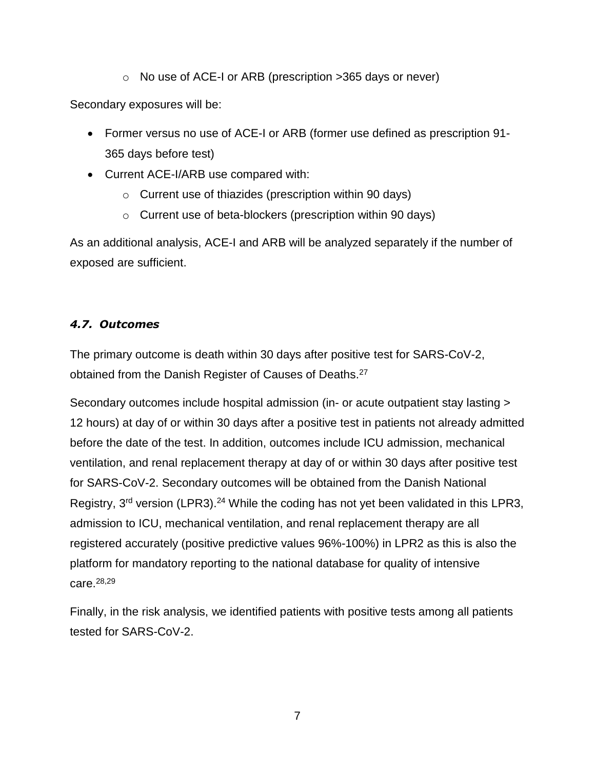o No use of ACE-I or ARB (prescription >365 days or never)

Secondary exposures will be:

- Former versus no use of ACE-I or ARB (former use defined as prescription 91- 365 days before test)
- Current ACE-I/ARB use compared with:
	- o Current use of thiazides (prescription within 90 days)
	- o Current use of beta-blockers (prescription within 90 days)

As an additional analysis, ACE-I and ARB will be analyzed separately if the number of exposed are sufficient.

# <span id="page-6-0"></span>*4.7. Outcomes*

The primary outcome is death within 30 days after positive test for SARS-CoV-2, obtained from the Danish Register of Causes of Deaths.<sup>27</sup>

Secondary outcomes include hospital admission (in- or acute outpatient stay lasting > 12 hours) at day of or within 30 days after a positive test in patients not already admitted before the date of the test. In addition, outcomes include ICU admission, mechanical ventilation, and renal replacement therapy at day of or within 30 days after positive test for SARS-CoV-2. Secondary outcomes will be obtained from the Danish National Registry, 3<sup>rd</sup> version (LPR3).<sup>24</sup> While the coding has not yet been validated in this LPR3, admission to ICU, mechanical ventilation, and renal replacement therapy are all registered accurately (positive predictive values 96%-100%) in LPR2 as this is also the platform for mandatory reporting to the national database for quality of intensive care.28,29

Finally, in the risk analysis, we identified patients with positive tests among all patients tested for SARS-CoV-2.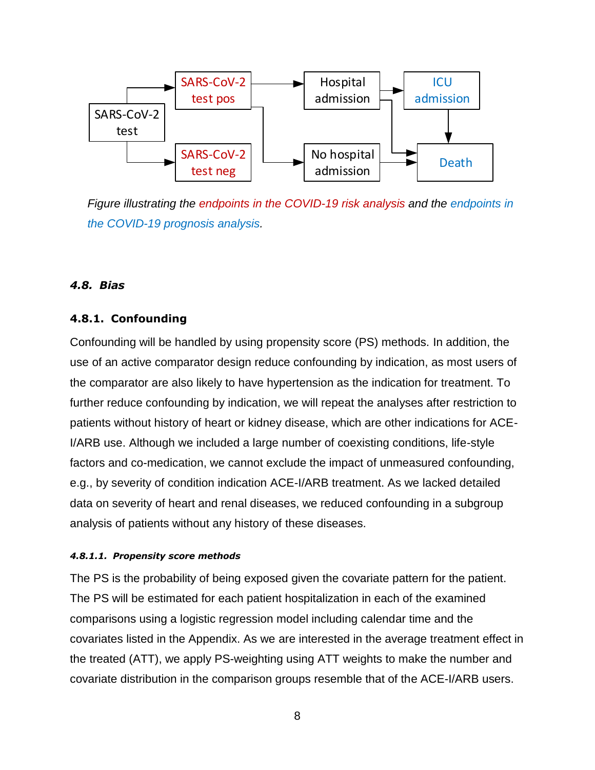

*Figure illustrating the endpoints in the COVID-19 risk analysis and the endpoints in the COVID-19 prognosis analysis.*

#### <span id="page-7-0"></span>*4.8. Bias*

#### <span id="page-7-1"></span>**4.8.1. Confounding**

Confounding will be handled by using propensity score (PS) methods. In addition, the use of an active comparator design reduce confounding by indication, as most users of the comparator are also likely to have hypertension as the indication for treatment. To further reduce confounding by indication, we will repeat the analyses after restriction to patients without history of heart or kidney disease, which are other indications for ACE-I/ARB use. Although we included a large number of coexisting conditions, life-style factors and co-medication, we cannot exclude the impact of unmeasured confounding, e.g., by severity of condition indication ACE-I/ARB treatment. As we lacked detailed data on severity of heart and renal diseases, we reduced confounding in a subgroup analysis of patients without any history of these diseases.

#### *4.8.1.1. Propensity score methods*

The PS is the probability of being exposed given the covariate pattern for the patient. The PS will be estimated for each patient hospitalization in each of the examined comparisons using a logistic regression model including calendar time and the covariates listed in the Appendix. As we are interested in the average treatment effect in the treated (ATT), we apply PS-weighting using ATT weights to make the number and covariate distribution in the comparison groups resemble that of the ACE-I/ARB users.

8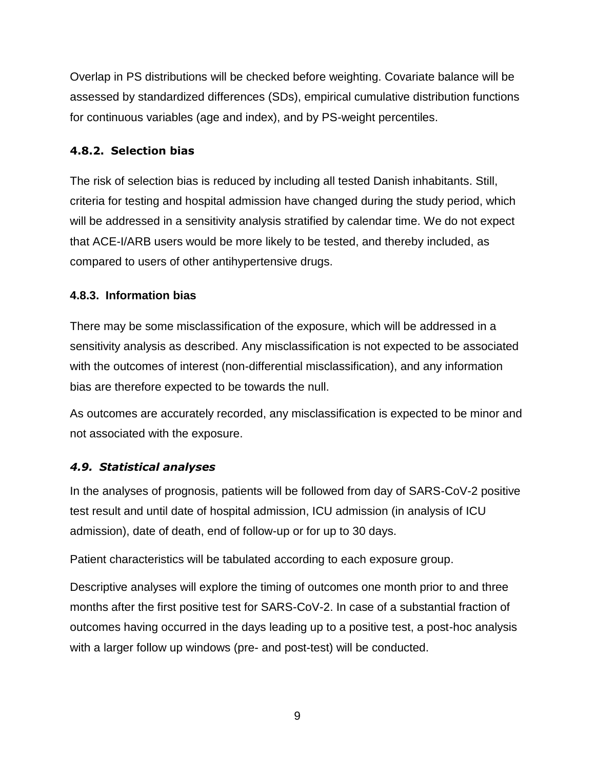Overlap in PS distributions will be checked before weighting. Covariate balance will be assessed by standardized differences (SDs), empirical cumulative distribution functions for continuous variables (age and index), and by PS-weight percentiles.

### <span id="page-8-0"></span>**4.8.2. Selection bias**

The risk of selection bias is reduced by including all tested Danish inhabitants. Still, criteria for testing and hospital admission have changed during the study period, which will be addressed in a sensitivity analysis stratified by calendar time. We do not expect that ACE-I/ARB users would be more likely to be tested, and thereby included, as compared to users of other antihypertensive drugs.

### <span id="page-8-1"></span>**4.8.3. Information bias**

There may be some misclassification of the exposure, which will be addressed in a sensitivity analysis as described. Any misclassification is not expected to be associated with the outcomes of interest (non-differential misclassification), and any information bias are therefore expected to be towards the null.

As outcomes are accurately recorded, any misclassification is expected to be minor and not associated with the exposure.

### <span id="page-8-2"></span>*4.9. Statistical analyses*

In the analyses of prognosis, patients will be followed from day of SARS-CoV-2 positive test result and until date of hospital admission, ICU admission (in analysis of ICU admission), date of death, end of follow-up or for up to 30 days.

Patient characteristics will be tabulated according to each exposure group.

Descriptive analyses will explore the timing of outcomes one month prior to and three months after the first positive test for SARS-CoV-2. In case of a substantial fraction of outcomes having occurred in the days leading up to a positive test, a post-hoc analysis with a larger follow up windows (pre- and post-test) will be conducted.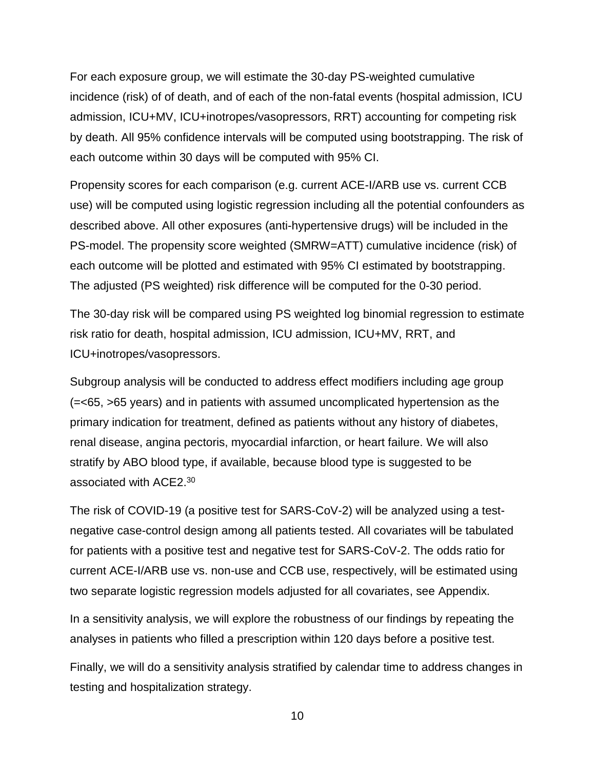For each exposure group, we will estimate the 30-day PS-weighted cumulative incidence (risk) of of death, and of each of the non-fatal events (hospital admission, ICU admission, ICU+MV, ICU+inotropes/vasopressors, RRT) accounting for competing risk by death. All 95% confidence intervals will be computed using bootstrapping. The risk of each outcome within 30 days will be computed with 95% CI.

Propensity scores for each comparison (e.g. current ACE-I/ARB use vs. current CCB use) will be computed using logistic regression including all the potential confounders as described above. All other exposures (anti-hypertensive drugs) will be included in the PS-model. The propensity score weighted (SMRW=ATT) cumulative incidence (risk) of each outcome will be plotted and estimated with 95% CI estimated by bootstrapping. The adjusted (PS weighted) risk difference will be computed for the 0-30 period.

The 30-day risk will be compared using PS weighted log binomial regression to estimate risk ratio for death, hospital admission, ICU admission, ICU+MV, RRT, and ICU+inotropes/vasopressors.

Subgroup analysis will be conducted to address effect modifiers including age group (=<65, >65 years) and in patients with assumed uncomplicated hypertension as the primary indication for treatment, defined as patients without any history of diabetes, renal disease, angina pectoris, myocardial infarction, or heart failure. We will also stratify by ABO blood type, if available, because blood type is suggested to be associated with ACE2.<sup>30</sup>

The risk of COVID-19 (a positive test for SARS-CoV-2) will be analyzed using a testnegative case-control design among all patients tested. All covariates will be tabulated for patients with a positive test and negative test for SARS-CoV-2. The odds ratio for current ACE-I/ARB use vs. non-use and CCB use, respectively, will be estimated using two separate logistic regression models adjusted for all covariates, see Appendix.

In a sensitivity analysis, we will explore the robustness of our findings by repeating the analyses in patients who filled a prescription within 120 days before a positive test.

Finally, we will do a sensitivity analysis stratified by calendar time to address changes in testing and hospitalization strategy.

10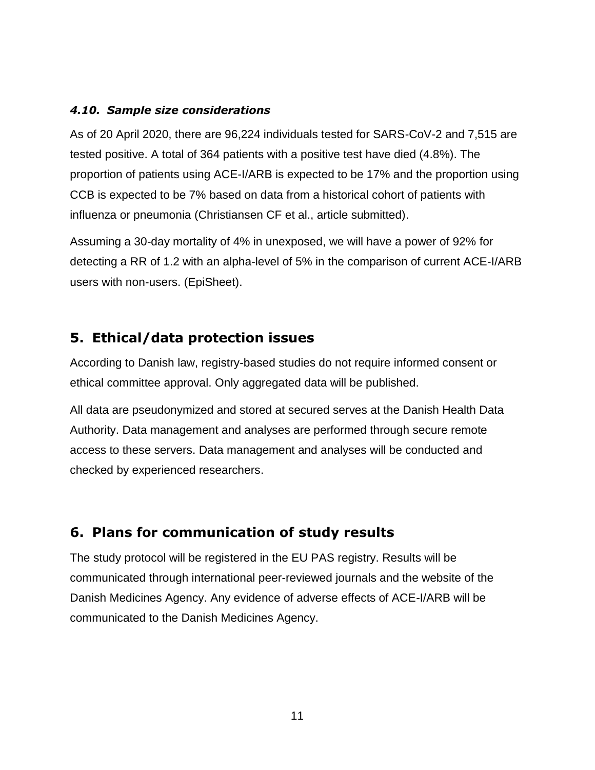#### <span id="page-10-0"></span>*4.10. Sample size considerations*

As of 20 April 2020, there are 96,224 individuals tested for SARS-CoV-2 and 7,515 are tested positive. A total of 364 patients with a positive test have died (4.8%). The proportion of patients using ACE-I/ARB is expected to be 17% and the proportion using CCB is expected to be 7% based on data from a historical cohort of patients with influenza or pneumonia (Christiansen CF et al., article submitted).

Assuming a 30-day mortality of 4% in unexposed, we will have a power of 92% for detecting a RR of 1.2 with an alpha-level of 5% in the comparison of current ACE-I/ARB users with non-users. (EpiSheet).

## <span id="page-10-1"></span>**5. Ethical/data protection issues**

According to Danish law, registry-based studies do not require informed consent or ethical committee approval. Only aggregated data will be published.

All data are pseudonymized and stored at secured serves at the Danish Health Data Authority. Data management and analyses are performed through secure remote access to these servers. Data management and analyses will be conducted and checked by experienced researchers.

# <span id="page-10-2"></span>**6. Plans for communication of study results**

The study protocol will be registered in the EU PAS registry. Results will be communicated through international peer-reviewed journals and the website of the Danish Medicines Agency. Any evidence of adverse effects of ACE-I/ARB will be communicated to the Danish Medicines Agency.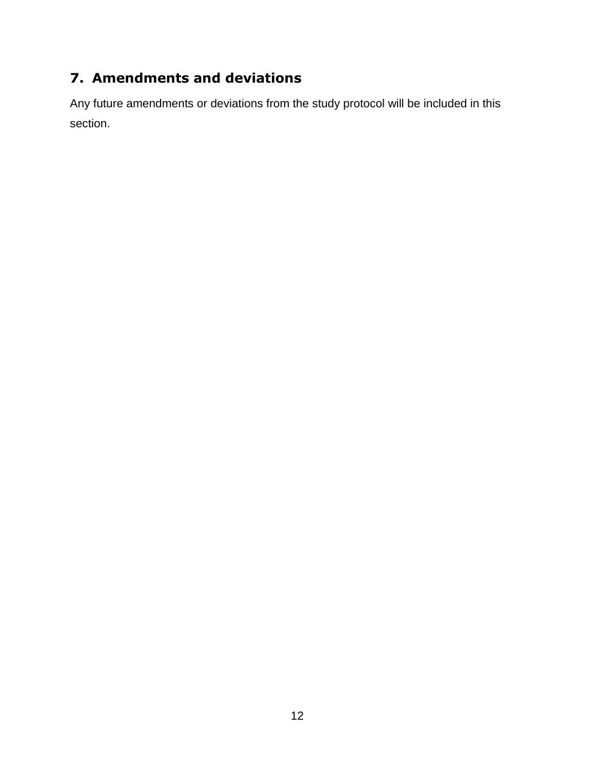# <span id="page-11-0"></span>**7. Amendments and deviations**

Any future amendments or deviations from the study protocol will be included in this section.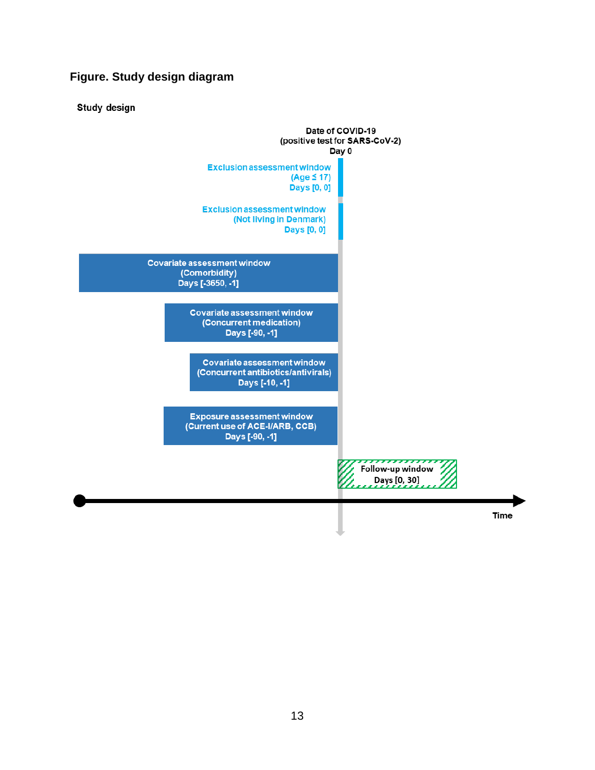### **Figure. Study design diagram**

**Study design** 

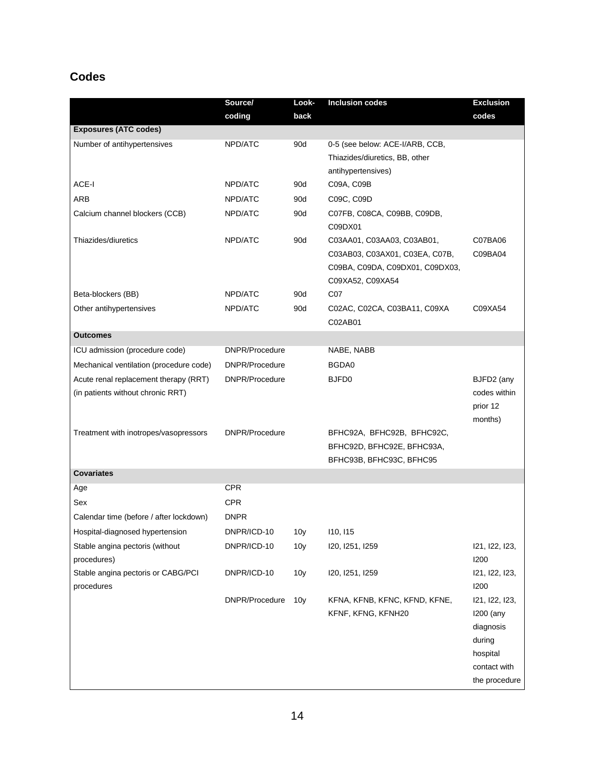# **Codes**

|                                                | Source/        | Look-           | <b>Inclusion codes</b>                                                                                              | <b>Exclusion</b>                                                               |
|------------------------------------------------|----------------|-----------------|---------------------------------------------------------------------------------------------------------------------|--------------------------------------------------------------------------------|
|                                                | coding         | back            |                                                                                                                     | codes                                                                          |
| <b>Exposures (ATC codes)</b>                   |                |                 |                                                                                                                     |                                                                                |
| Number of antihypertensives                    | NPD/ATC        | 90d             | 0-5 (see below: ACE-I/ARB, CCB,                                                                                     |                                                                                |
|                                                |                |                 | Thiazides/diuretics, BB, other                                                                                      |                                                                                |
|                                                |                |                 | antihypertensives)                                                                                                  |                                                                                |
| ACE-I                                          | NPD/ATC        | 90d             | C09A, C09B                                                                                                          |                                                                                |
| <b>ARB</b>                                     | NPD/ATC        | 90d             | C09C, C09D                                                                                                          |                                                                                |
| Calcium channel blockers (CCB)                 | NPD/ATC        | 90d             | C07FB, C08CA, C09BB, C09DB,<br>C09DX01                                                                              |                                                                                |
| Thiazides/diuretics                            | NPD/ATC        | 90d             | C03AA01, C03AA03, C03AB01,<br>C03AB03, C03AX01, C03EA, C07B,<br>C09BA, C09DA, C09DX01, C09DX03,<br>C09XA52, C09XA54 | C07BA06<br>C09BA04                                                             |
| Beta-blockers (BB)                             | NPD/ATC        | 90d             | C07                                                                                                                 |                                                                                |
| Other antihypertensives                        | NPD/ATC        | 90d             | C02AC, C02CA, C03BA11, C09XA<br>C02AB01                                                                             | C09XA54                                                                        |
| <b>Outcomes</b>                                |                |                 |                                                                                                                     |                                                                                |
| ICU admission (procedure code)                 | DNPR/Procedure |                 | NABE, NABB                                                                                                          |                                                                                |
| Mechanical ventilation (procedure code)        | DNPR/Procedure |                 | BGDA0                                                                                                               |                                                                                |
| Acute renal replacement therapy (RRT)          | DNPR/Procedure |                 | BJFD <sub>0</sub>                                                                                                   | BJFD2 (any                                                                     |
| (in patients without chronic RRT)              |                |                 |                                                                                                                     | codes within<br>prior 12<br>months)                                            |
| Treatment with inotropes/vasopressors          | DNPR/Procedure |                 | BFHC92A, BFHC92B, BFHC92C,<br>BFHC92D, BFHC92E, BFHC93A,<br>BFHC93B, BFHC93C, BFHC95                                |                                                                                |
| <b>Covariates</b>                              |                |                 |                                                                                                                     |                                                                                |
| Age                                            | <b>CPR</b>     |                 |                                                                                                                     |                                                                                |
| Sex                                            | <b>CPR</b>     |                 |                                                                                                                     |                                                                                |
| Calendar time (before / after lockdown)        | <b>DNPR</b>    |                 |                                                                                                                     |                                                                                |
| Hospital-diagnosed hypertension                | DNPR/ICD-10    | 10y             | 110, 115                                                                                                            |                                                                                |
| Stable angina pectoris (without<br>procedures) | DNPR/ICD-10    | 10 <sub>V</sub> | I20, I251, I259                                                                                                     | 121, 122, 123,<br>1200                                                         |
| Stable angina pectoris or CABG/PCI             | DNPR/ICD-10    | 10 <sub>y</sub> | 120, 1251, 1259                                                                                                     | 121, 122, 123,                                                                 |
| procedures                                     |                |                 |                                                                                                                     | 1200                                                                           |
|                                                | DNPR/Procedure | 10 <sub>y</sub> | KFNA, KFNB, KFNC, KFND, KFNE,<br>KFNF, KFNG, KFNH20                                                                 | 121, 122, 123,<br>1200 (any<br>diagnosis<br>during<br>hospital<br>contact with |
|                                                |                |                 |                                                                                                                     | the procedure                                                                  |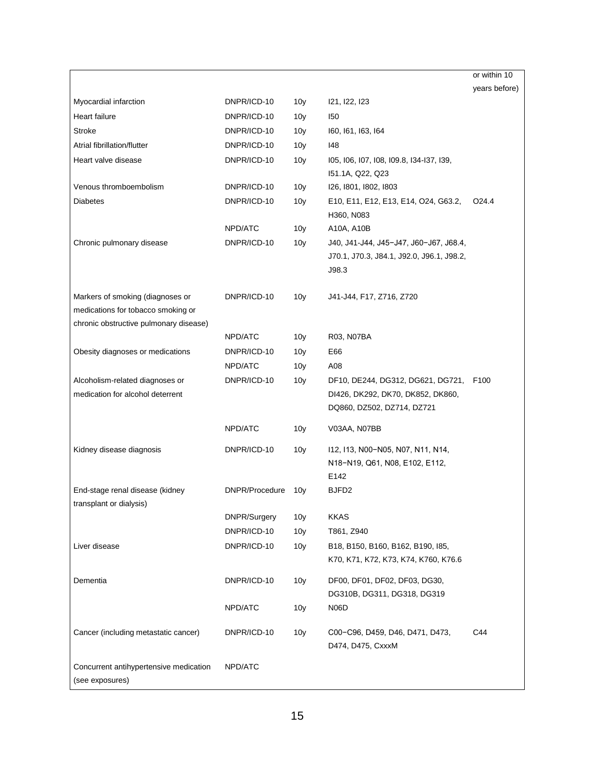|                                                                        |                |                 |                                                                                                      | or within 10      |
|------------------------------------------------------------------------|----------------|-----------------|------------------------------------------------------------------------------------------------------|-------------------|
|                                                                        |                |                 |                                                                                                      | years before)     |
| Myocardial infarction                                                  | DNPR/ICD-10    | 10 <sub>y</sub> | 121, 122, 123                                                                                        |                   |
| Heart failure                                                          | DNPR/ICD-10    | 10 <sub>y</sub> | 150                                                                                                  |                   |
| <b>Stroke</b>                                                          | DNPR/ICD-10    | 10 <sub>y</sub> | 160, 161, 163, 164                                                                                   |                   |
| Atrial fibrillation/flutter                                            | DNPR/ICD-10    | 10 <sub>y</sub> | 148                                                                                                  |                   |
| Heart valve disease                                                    | DNPR/ICD-10    | 10 <sub>y</sub> | 105, 106, 107, 108, 109.8, 134-137, 139,                                                             |                   |
|                                                                        |                |                 | 151.1A, Q22, Q23                                                                                     |                   |
| Venous thromboembolism                                                 | DNPR/ICD-10    | 10 <sub>y</sub> | 126, 1801, 1802, 1803                                                                                |                   |
| <b>Diabetes</b>                                                        | DNPR/ICD-10    | 10 <sub>y</sub> | E10, E11, E12, E13, E14, O24, G63.2,<br>H360, N083                                                   | O <sub>24.4</sub> |
|                                                                        | NPD/ATC        | 10 <sub>y</sub> | A10A, A10B                                                                                           |                   |
| Chronic pulmonary disease                                              | DNPR/ICD-10    | 10 <sub>y</sub> | J40, J41-J44, J45-J47, J60-J67, J68.4,<br>J70.1, J70.3, J84.1, J92.0, J96.1, J98.2,<br>J98.3         |                   |
| Markers of smoking (diagnoses or<br>medications for tobacco smoking or | DNPR/ICD-10    | 10 <sub>y</sub> | J41-J44, F17, Z716, Z720                                                                             |                   |
| chronic obstructive pulmonary disease)                                 |                |                 |                                                                                                      |                   |
|                                                                        | NPD/ATC        | 10 <sub>V</sub> | R03, N07BA                                                                                           |                   |
| Obesity diagnoses or medications                                       | DNPR/ICD-10    | 10 <sub>V</sub> | E66                                                                                                  |                   |
|                                                                        | NPD/ATC        | 10 <sub>y</sub> | A08                                                                                                  |                   |
| Alcoholism-related diagnoses or<br>medication for alcohol deterrent    | DNPR/ICD-10    | 10 <sub>y</sub> | DF10, DE244, DG312, DG621, DG721,<br>DI426, DK292, DK70, DK852, DK860,<br>DQ860, DZ502, DZ714, DZ721 | F <sub>100</sub>  |
|                                                                        | NPD/ATC        | 10 <sub>y</sub> | V03AA, N07BB                                                                                         |                   |
| Kidney disease diagnosis                                               | DNPR/ICD-10    | 10 <sub>y</sub> | I12, I13, N00-N05, N07, N11, N14,<br>N18-N19, Q61, N08, E102, E112,<br>E142                          |                   |
| End-stage renal disease (kidney<br>transplant or dialysis)             | DNPR/Procedure | 10 <sub>V</sub> | BJFD2                                                                                                |                   |
|                                                                        | DNPR/Surgery   | 10 <sub>y</sub> | <b>KKAS</b>                                                                                          |                   |
|                                                                        | DNPR/ICD-10    | 10 <sub>y</sub> | T861, Z940                                                                                           |                   |
| Liver disease                                                          | DNPR/ICD-10    | 10 <sub>y</sub> | B18, B150, B160, B162, B190, I85,<br>K70, K71, K72, K73, K74, K760, K76.6                            |                   |
| Dementia                                                               | DNPR/ICD-10    | 10 <sub>y</sub> | DF00, DF01, DF02, DF03, DG30,<br>DG310B, DG311, DG318, DG319                                         |                   |
|                                                                        | NPD/ATC        | 10 <sub>y</sub> | N06D                                                                                                 |                   |
| Cancer (including metastatic cancer)                                   | DNPR/ICD-10    | 10 <sub>y</sub> | C00-C96, D459, D46, D471, D473,<br>D474, D475, CxxxM                                                 | C44               |
| Concurrent antihypertensive medication<br>(see exposures)              | NPD/ATC        |                 |                                                                                                      |                   |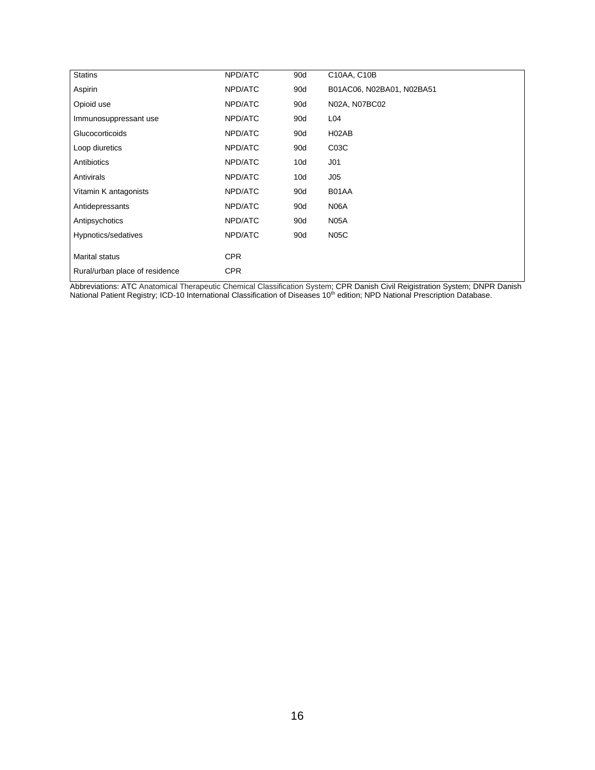| <b>Statins</b>                 | NPD/ATC    | 90d | C10AA, C10B               |
|--------------------------------|------------|-----|---------------------------|
| Aspirin                        | NPD/ATC    | 90d | B01AC06, N02BA01, N02BA51 |
| Opioid use                     | NPD/ATC    | 90d | N02A, N07BC02             |
| Immunosuppressant use          | NPD/ATC    | 90d | L04                       |
| Glucocorticoids                | NPD/ATC    | 90d | H02AB                     |
| Loop diuretics                 | NPD/ATC    | 90d | C <sub>03C</sub>          |
| Antibiotics                    | NPD/ATC    | 10d | J <sub>01</sub>           |
| Antivirals                     | NPD/ATC    | 10d | J05                       |
| Vitamin K antagonists          | NPD/ATC    | 90d | B01AA                     |
| Antidepressants                | NPD/ATC    | 90d | N06A                      |
| Antipsychotics                 | NPD/ATC    | 90d | <b>N05A</b>               |
| Hypnotics/sedatives            | NPD/ATC    | 90d | <b>N05C</b>               |
| <b>Marital status</b>          | <b>CPR</b> |     |                           |
|                                |            |     |                           |
| Rural/urban place of residence | <b>CPR</b> |     |                           |

Abbreviations: ATC Anatomical Therapeutic Chemical Classification System; CPR Danish Civil Reigistration System; DNPR Danish National Patient Registry; ICD-10 International Classification of Diseases 10<sup>th</sup> edition; NPD National Prescription Database.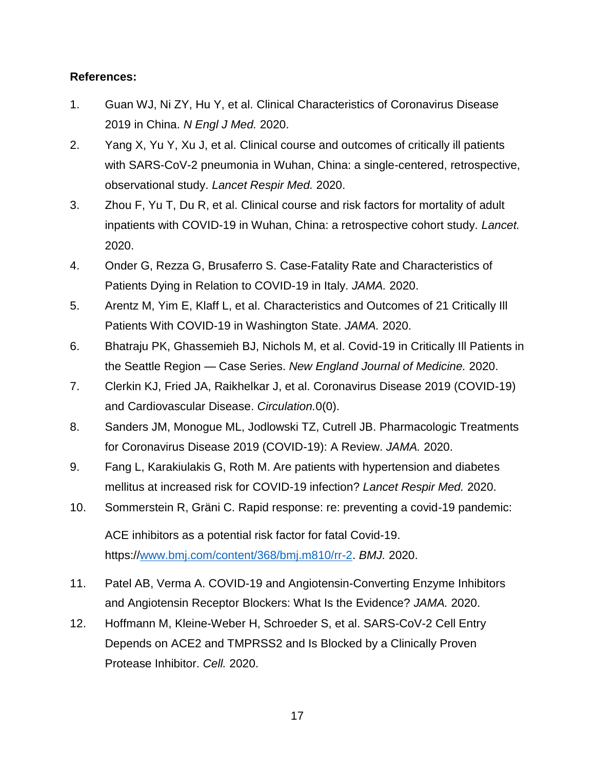#### **References:**

- 1. Guan WJ, Ni ZY, Hu Y, et al. Clinical Characteristics of Coronavirus Disease 2019 in China. *N Engl J Med.* 2020.
- 2. Yang X, Yu Y, Xu J, et al. Clinical course and outcomes of critically ill patients with SARS-CoV-2 pneumonia in Wuhan, China: a single-centered, retrospective, observational study. *Lancet Respir Med.* 2020.
- 3. Zhou F, Yu T, Du R, et al. Clinical course and risk factors for mortality of adult inpatients with COVID-19 in Wuhan, China: a retrospective cohort study. *Lancet.*  2020.
- 4. Onder G, Rezza G, Brusaferro S. Case-Fatality Rate and Characteristics of Patients Dying in Relation to COVID-19 in Italy. *JAMA.* 2020.
- 5. Arentz M, Yim E, Klaff L, et al. Characteristics and Outcomes of 21 Critically Ill Patients With COVID-19 in Washington State. *JAMA.* 2020.
- 6. Bhatraju PK, Ghassemieh BJ, Nichols M, et al. Covid-19 in Critically Ill Patients in the Seattle Region — Case Series. *New England Journal of Medicine.* 2020.
- 7. Clerkin KJ, Fried JA, Raikhelkar J, et al. Coronavirus Disease 2019 (COVID-19) and Cardiovascular Disease. *Circulation.*0(0).
- 8. Sanders JM, Monogue ML, Jodlowski TZ, Cutrell JB. Pharmacologic Treatments for Coronavirus Disease 2019 (COVID-19): A Review. *JAMA.* 2020.
- 9. Fang L, Karakiulakis G, Roth M. Are patients with hypertension and diabetes mellitus at increased risk for COVID-19 infection? *Lancet Respir Med.* 2020.
- 10. Sommerstein R, Gräni C. Rapid response: re: preventing a covid-19 pandemic:

ACE inhibitors as a potential risk factor for fatal Covid-19. https:/[/www.bmj.com/content/368/bmj.m810/rr-2.](file://///uni.au.dk/users/au122707/Data/COVID-19/ACE-I-ARB-COVID-19/www.bmj.com/content/368/bmj.m810/rr-2) *BMJ.* 2020.

- 11. Patel AB, Verma A. COVID-19 and Angiotensin-Converting Enzyme Inhibitors and Angiotensin Receptor Blockers: What Is the Evidence? *JAMA.* 2020.
- 12. Hoffmann M, Kleine-Weber H, Schroeder S, et al. SARS-CoV-2 Cell Entry Depends on ACE2 and TMPRSS2 and Is Blocked by a Clinically Proven Protease Inhibitor. *Cell.* 2020.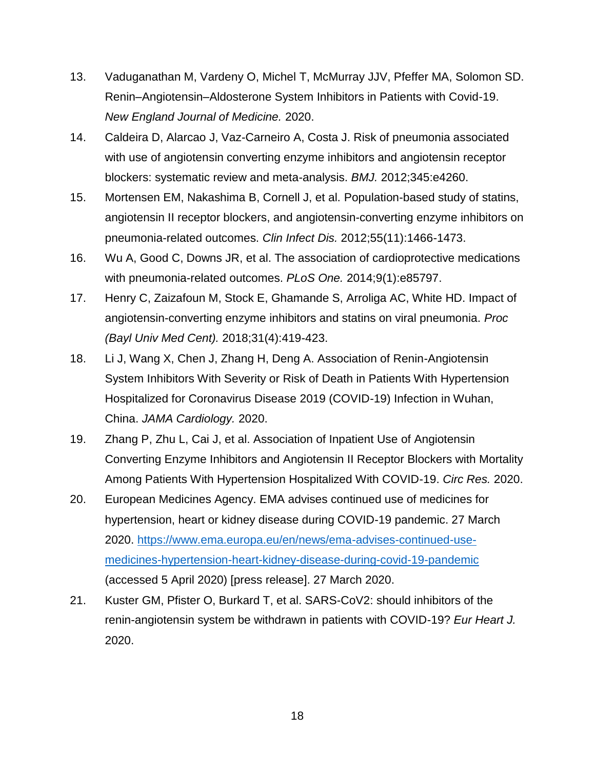- 13. Vaduganathan M, Vardeny O, Michel T, McMurray JJV, Pfeffer MA, Solomon SD. Renin–Angiotensin–Aldosterone System Inhibitors in Patients with Covid-19. *New England Journal of Medicine.* 2020.
- 14. Caldeira D, Alarcao J, Vaz-Carneiro A, Costa J. Risk of pneumonia associated with use of angiotensin converting enzyme inhibitors and angiotensin receptor blockers: systematic review and meta-analysis. *BMJ.* 2012;345:e4260.
- 15. Mortensen EM, Nakashima B, Cornell J, et al. Population-based study of statins, angiotensin II receptor blockers, and angiotensin-converting enzyme inhibitors on pneumonia-related outcomes. *Clin Infect Dis.* 2012;55(11):1466-1473.
- 16. Wu A, Good C, Downs JR, et al. The association of cardioprotective medications with pneumonia-related outcomes. *PLoS One.* 2014;9(1):e85797.
- 17. Henry C, Zaizafoun M, Stock E, Ghamande S, Arroliga AC, White HD. Impact of angiotensin-converting enzyme inhibitors and statins on viral pneumonia. *Proc (Bayl Univ Med Cent).* 2018;31(4):419-423.
- 18. Li J, Wang X, Chen J, Zhang H, Deng A. Association of Renin-Angiotensin System Inhibitors With Severity or Risk of Death in Patients With Hypertension Hospitalized for Coronavirus Disease 2019 (COVID-19) Infection in Wuhan, China. *JAMA Cardiology.* 2020.
- 19. Zhang P, Zhu L, Cai J, et al. Association of Inpatient Use of Angiotensin Converting Enzyme Inhibitors and Angiotensin II Receptor Blockers with Mortality Among Patients With Hypertension Hospitalized With COVID-19. *Circ Res.* 2020.
- 20. European Medicines Agency. EMA advises continued use of medicines for hypertension, heart or kidney disease during COVID-19 pandemic. 27 March 2020. [https://www.ema.europa.eu/en/news/ema-advises-continued-use](https://www.ema.europa.eu/en/news/ema-advises-continued-use-medicines-hypertension-heart-kidney-disease-during-covid-19-pandemic)[medicines-hypertension-heart-kidney-disease-during-covid-19-pandemic](https://www.ema.europa.eu/en/news/ema-advises-continued-use-medicines-hypertension-heart-kidney-disease-during-covid-19-pandemic) (accessed 5 April 2020) [press release]. 27 March 2020.
- 21. Kuster GM, Pfister O, Burkard T, et al. SARS-CoV2: should inhibitors of the renin-angiotensin system be withdrawn in patients with COVID-19? *Eur Heart J.*  2020.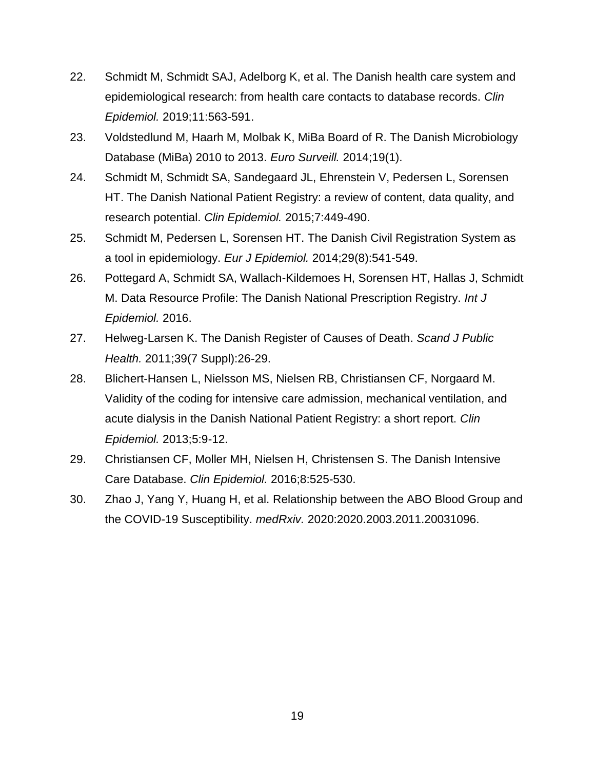- 22. Schmidt M, Schmidt SAJ, Adelborg K, et al. The Danish health care system and epidemiological research: from health care contacts to database records. *Clin Epidemiol.* 2019;11:563-591.
- 23. Voldstedlund M, Haarh M, Molbak K, MiBa Board of R. The Danish Microbiology Database (MiBa) 2010 to 2013. *Euro Surveill.* 2014;19(1).
- 24. Schmidt M, Schmidt SA, Sandegaard JL, Ehrenstein V, Pedersen L, Sorensen HT. The Danish National Patient Registry: a review of content, data quality, and research potential. *Clin Epidemiol.* 2015;7:449-490.
- 25. Schmidt M, Pedersen L, Sorensen HT. The Danish Civil Registration System as a tool in epidemiology. *Eur J Epidemiol.* 2014;29(8):541-549.
- 26. Pottegard A, Schmidt SA, Wallach-Kildemoes H, Sorensen HT, Hallas J, Schmidt M. Data Resource Profile: The Danish National Prescription Registry. *Int J Epidemiol.* 2016.
- 27. Helweg-Larsen K. The Danish Register of Causes of Death. *Scand J Public Health.* 2011;39(7 Suppl):26-29.
- 28. Blichert-Hansen L, Nielsson MS, Nielsen RB, Christiansen CF, Norgaard M. Validity of the coding for intensive care admission, mechanical ventilation, and acute dialysis in the Danish National Patient Registry: a short report. *Clin Epidemiol.* 2013;5:9-12.
- 29. Christiansen CF, Moller MH, Nielsen H, Christensen S. The Danish Intensive Care Database. *Clin Epidemiol.* 2016;8:525-530.
- 30. Zhao J, Yang Y, Huang H, et al. Relationship between the ABO Blood Group and the COVID-19 Susceptibility. *medRxiv.* 2020:2020.2003.2011.20031096.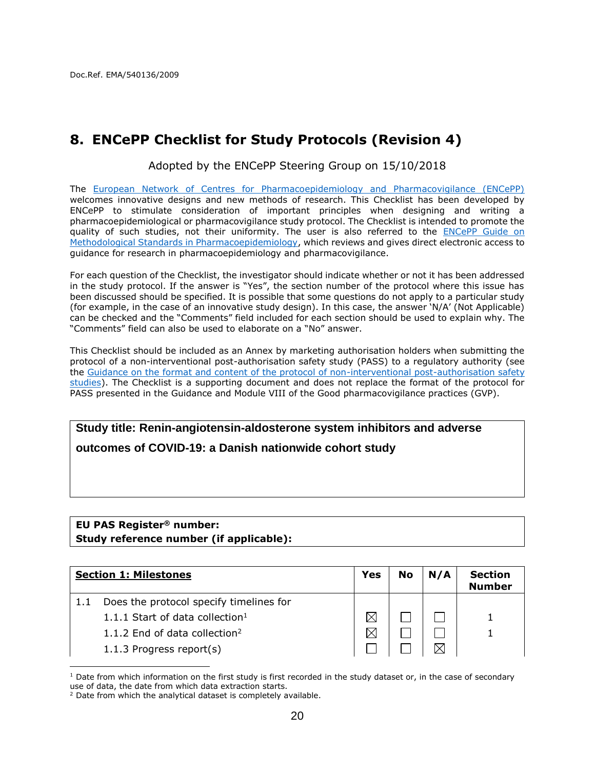# <span id="page-19-0"></span>**8. ENCePP Checklist for Study Protocols (Revision 4)**

Adopted by the ENCePP Steering Group on 15/10/2018

The [European Network of Centres for Pharmacoepidemiology and Pharmacovigilance \(ENCePP\)](http://www.encepp.eu/) welcomes innovative designs and new methods of research. This Checklist has been developed by ENCePP to stimulate consideration of important principles when designing and writing a pharmacoepidemiological or pharmacovigilance study protocol. The Checklist is intended to promote the quality of such studies, not their uniformity. The user is also referred to the [ENCePP Guide on](http://www.encepp.eu/standards_and_guidances/index.html)  [Methodological Standards in Pharmacoepidemiology,](http://www.encepp.eu/standards_and_guidances/index.html) which reviews and gives direct electronic access to guidance for research in pharmacoepidemiology and pharmacovigilance.

For each question of the Checklist, the investigator should indicate whether or not it has been addressed in the study protocol. If the answer is "Yes", the section number of the protocol where this issue has been discussed should be specified. It is possible that some questions do not apply to a particular study (for example, in the case of an innovative study design). In this case, the answer 'N/A' (Not Applicable) can be checked and the "Comments" field included for each section should be used to explain why. The "Comments" field can also be used to elaborate on a "No" answer.

This Checklist should be included as an Annex by marketing authorisation holders when submitting the protocol of a non-interventional post-authorisation safety study (PASS) to a regulatory authority (see the [Guidance on the format and content of the protocol of non-interventional post-authorisation safety](http://www.ema.europa.eu/docs/en_GB/document_library/Other/2012/10/WC500133174.pdf)  [studies\)](http://www.ema.europa.eu/docs/en_GB/document_library/Other/2012/10/WC500133174.pdf). The Checklist is a supporting document and does not replace the format of the protocol for PASS presented in the Guidance and Module VIII of the Good pharmacovigilance practices (GVP).

# **Study title: Renin-angiotensin-aldosterone system inhibitors and adverse outcomes of COVID-19: a Danish nationwide cohort study**

#### **EU PAS Register® number: Study reference number (if applicable):**

| <b>Section 1: Milestones</b>                | Yes         | <b>No</b> | N/A | <b>Section</b><br><b>Number</b> |
|---------------------------------------------|-------------|-----------|-----|---------------------------------|
| Does the protocol specify timelines for     |             |           |     |                                 |
| 1.1.1 Start of data collection <sup>1</sup> | $\boxtimes$ |           |     |                                 |
| 1.1.2 End of data collection <sup>2</sup>   | $\boxtimes$ |           |     |                                 |
| 1.1.3 Progress report(s)                    |             |           |     |                                 |
|                                             |             |           |     |                                 |

 $1$  Date from which information on the first study is first recorded in the study dataset or, in the case of secondary use of data, the date from which data extraction starts.

<sup>&</sup>lt;sup>2</sup> Date from which the analytical dataset is completely available.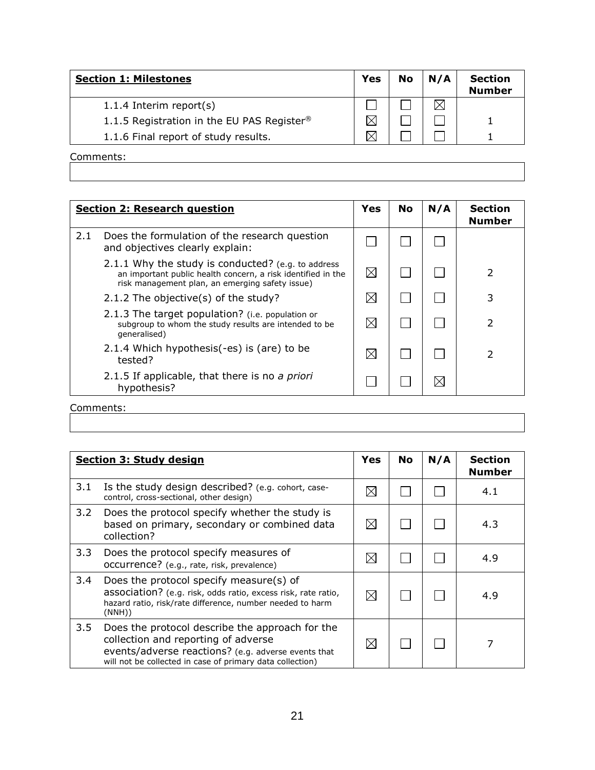| <b>Section 1: Milestones</b>                           | <b>Yes</b> | <b>No</b> | N/A | <b>Section</b><br><b>Number</b> |
|--------------------------------------------------------|------------|-----------|-----|---------------------------------|
| 1.1.4 Interim report(s)                                |            |           |     |                                 |
| 1.1.5 Registration in the EU PAS Register <sup>®</sup> | $\bowtie$  |           |     |                                 |
| 1.1.6 Final report of study results.                   |            |           |     |                                 |

|     | <b>Section 2: Research question</b>                                                                                                                                   | Yes         | <b>No</b> | N/A | <b>Section</b><br><b>Number</b> |
|-----|-----------------------------------------------------------------------------------------------------------------------------------------------------------------------|-------------|-----------|-----|---------------------------------|
| 2.1 | Does the formulation of the research question<br>and objectives clearly explain:                                                                                      |             |           |     |                                 |
|     | 2.1.1 Why the study is conducted? (e.g. to address<br>an important public health concern, a risk identified in the<br>risk management plan, an emerging safety issue) | $\boxtimes$ |           |     | $\mathcal{P}$                   |
|     | 2.1.2 The objective(s) of the study?                                                                                                                                  | $\boxtimes$ |           |     | 3                               |
|     | 2.1.3 The target population? (i.e. population or<br>subgroup to whom the study results are intended to be<br>qeneralised)                                             | $\boxtimes$ |           |     | 2                               |
|     | 2.1.4 Which hypothesis (-es) is (are) to be<br>tested?                                                                                                                | $\boxtimes$ |           |     | 2                               |
|     | 2.1.5 If applicable, that there is no a priori<br>hypothesis?                                                                                                         |             |           | IX  |                                 |
|     | Comments:                                                                                                                                                             |             |           |     |                                 |

|     | <b>Section 3: Study design</b>                                                                                                                                                                             | Yes         | <b>No</b> | N/A | <b>Section</b><br><b>Number</b> |
|-----|------------------------------------------------------------------------------------------------------------------------------------------------------------------------------------------------------------|-------------|-----------|-----|---------------------------------|
| 3.1 | Is the study design described? (e.g. cohort, case-<br>control, cross-sectional, other design)                                                                                                              | $\boxtimes$ |           |     | 4.1                             |
| 3.2 | Does the protocol specify whether the study is<br>based on primary, secondary or combined data<br>collection?                                                                                              | $\boxtimes$ |           |     | 4.3                             |
| 3.3 | Does the protocol specify measures of<br>occurrence? (e.g., rate, risk, prevalence)                                                                                                                        | $\boxtimes$ |           |     | 4.9                             |
| 3.4 | Does the protocol specify measure(s) of<br>association? (e.g. risk, odds ratio, excess risk, rate ratio,<br>hazard ratio, risk/rate difference, number needed to harm<br>(NNH))                            | $\boxtimes$ |           |     | 4.9                             |
| 3.5 | Does the protocol describe the approach for the<br>collection and reporting of adverse<br>events/adverse reactions? (e.g. adverse events that<br>will not be collected in case of primary data collection) | $\boxtimes$ |           |     |                                 |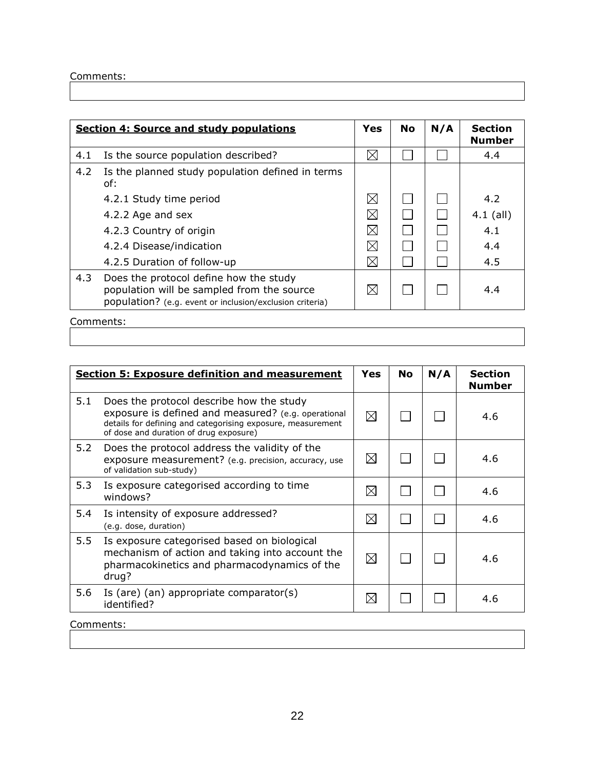|     | <b>Section 4: Source and study populations</b>                                                                                                   | Yes         | <b>No</b> | N/A | <b>Section</b><br><b>Number</b> |
|-----|--------------------------------------------------------------------------------------------------------------------------------------------------|-------------|-----------|-----|---------------------------------|
| 4.1 | Is the source population described?                                                                                                              | $\boxtimes$ |           |     | 4.4                             |
| 4.2 | Is the planned study population defined in terms<br>of:                                                                                          |             |           |     |                                 |
|     | 4.2.1 Study time period                                                                                                                          | $\boxtimes$ |           |     | 4.2                             |
|     | 4.2.2 Age and sex                                                                                                                                | $\boxtimes$ |           |     | $4.1$ (all)                     |
|     | 4.2.3 Country of origin                                                                                                                          | $\boxtimes$ |           |     | 4.1                             |
|     | 4.2.4 Disease/indication                                                                                                                         | $\boxtimes$ |           |     | 4.4                             |
|     | 4.2.5 Duration of follow-up                                                                                                                      | $\boxtimes$ |           |     | 4.5                             |
| 4.3 | Does the protocol define how the study<br>population will be sampled from the source<br>population? (e.g. event or inclusion/exclusion criteria) | $\boxtimes$ |           |     | 4.4                             |

|           | <b>Section 5: Exposure definition and measurement</b>                                                                                                                                                    | Yes         | No | N/A | <b>Section</b><br><b>Number</b> |
|-----------|----------------------------------------------------------------------------------------------------------------------------------------------------------------------------------------------------------|-------------|----|-----|---------------------------------|
| 5.1       | Does the protocol describe how the study<br>exposure is defined and measured? (e.g. operational<br>details for defining and categorising exposure, measurement<br>of dose and duration of drug exposure) | ⊠           |    |     | 4.6                             |
| 5.2       | Does the protocol address the validity of the<br>exposure measurement? (e.g. precision, accuracy, use<br>of validation sub-study)                                                                        | ⊠           |    |     | 4.6                             |
| 5.3       | Is exposure categorised according to time<br>windows?                                                                                                                                                    | $\boxtimes$ |    |     | 4.6                             |
| 5.4       | Is intensity of exposure addressed?<br>(e.g. dose, duration)                                                                                                                                             | $\boxtimes$ |    |     | 4.6                             |
| 5.5       | Is exposure categorised based on biological<br>mechanism of action and taking into account the<br>pharmacokinetics and pharmacodynamics of the<br>drug?                                                  | ⊠           |    |     | 4.6                             |
| 5.6       | Is (are) (an) appropriate comparator(s)<br>identified?                                                                                                                                                   | ⊠           |    |     | 4.6                             |
| Comments: |                                                                                                                                                                                                          |             |    |     |                                 |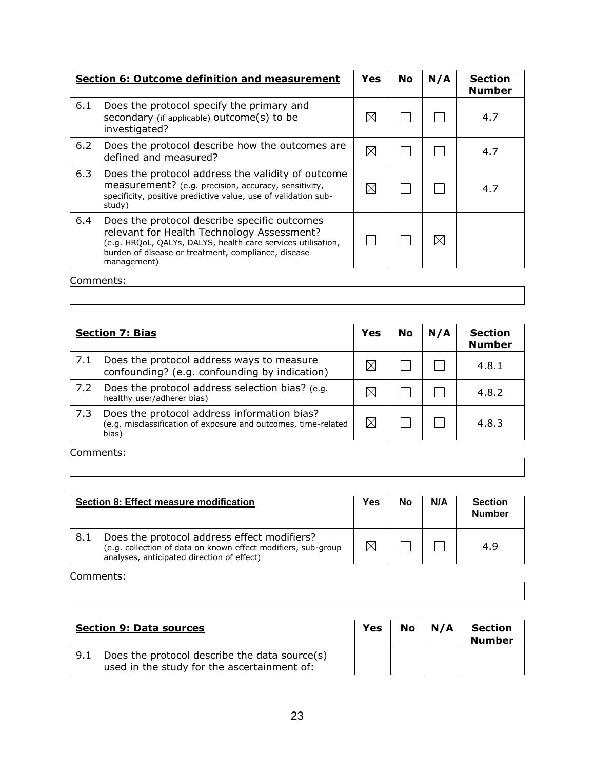|     | <b>Section 6: Outcome definition and measurement</b>                                                                                                                                                                             | Yes         | <b>No</b> | N/A | <b>Section</b><br><b>Number</b> |
|-----|----------------------------------------------------------------------------------------------------------------------------------------------------------------------------------------------------------------------------------|-------------|-----------|-----|---------------------------------|
| 6.1 | Does the protocol specify the primary and<br>secondary (if applicable) outcome(s) to be<br>investigated?                                                                                                                         | $\boxtimes$ |           |     | 4.7                             |
| 6.2 | Does the protocol describe how the outcomes are<br>defined and measured?                                                                                                                                                         | $\boxtimes$ |           |     | 4.7                             |
| 6.3 | Does the protocol address the validity of outcome<br>measurement? (e.g. precision, accuracy, sensitivity,<br>specificity, positive predictive value, use of validation sub-<br>study)                                            | $\bowtie$   |           |     | 4.7                             |
| 6.4 | Does the protocol describe specific outcomes<br>relevant for Health Technology Assessment?<br>(e.g. HRQoL, QALYs, DALYS, health care services utilisation,<br>burden of disease or treatment, compliance, disease<br>management) |             |           |     |                                 |

|     | <b>Section 7: Bias</b>                                                                                                 | Yes         | <b>No</b> | N/A | <b>Section</b><br><b>Number</b> |
|-----|------------------------------------------------------------------------------------------------------------------------|-------------|-----------|-----|---------------------------------|
| 7.1 | Does the protocol address ways to measure<br>confounding? (e.g. confounding by indication)                             |             |           |     | 4.8.1                           |
| 7.2 | Does the protocol address selection bias? (e.g.<br>healthy user/adherer bias)                                          | X           |           |     | 4.8.2                           |
| 7.3 | Does the protocol address information bias?<br>(e.g. misclassification of exposure and outcomes, time-related<br>bias) | $\boxtimes$ |           |     | 4.8.3                           |

Comments:

|     | Section 8: Effect measure modification                                                                                                                     | Yes | No | N/A | <b>Section</b><br><b>Number</b> |
|-----|------------------------------------------------------------------------------------------------------------------------------------------------------------|-----|----|-----|---------------------------------|
| 8.1 | Does the protocol address effect modifiers?<br>(e.g. collection of data on known effect modifiers, sub-group<br>analyses, anticipated direction of effect) |     |    |     | 4.9                             |

|     | <b>Section 9: Data sources</b>                                                               | <b>Yes</b> | No | N/A | <b>Section</b><br><b>Number</b> |
|-----|----------------------------------------------------------------------------------------------|------------|----|-----|---------------------------------|
| 9.1 | Does the protocol describe the data source(s)<br>used in the study for the ascertainment of: |            |    |     |                                 |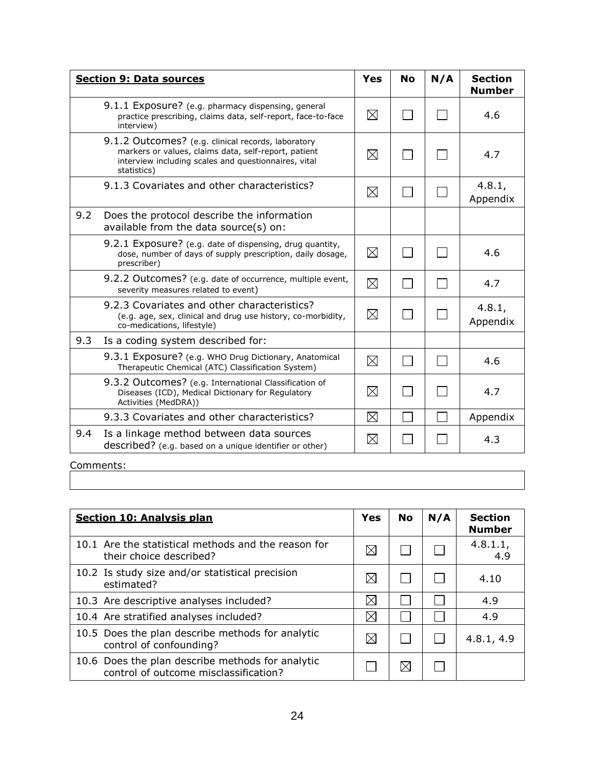|     | <b>Section 9: Data sources</b>                                                                                                                                                    | Yes         | <b>No</b>       | N/A | <b>Section</b><br><b>Number</b> |
|-----|-----------------------------------------------------------------------------------------------------------------------------------------------------------------------------------|-------------|-----------------|-----|---------------------------------|
|     | 9.1.1 Exposure? (e.g. pharmacy dispensing, general<br>practice prescribing, claims data, self-report, face-to-face<br>interview)                                                  | $\boxtimes$ |                 |     | 4.6                             |
|     | 9.1.2 Outcomes? (e.g. clinical records, laboratory<br>markers or values, claims data, self-report, patient<br>interview including scales and questionnaires, vital<br>statistics) | ⊠           | $\mathsf{L}$    |     | 4.7                             |
|     | 9.1.3 Covariates and other characteristics?                                                                                                                                       | $\boxtimes$ | <b>Contract</b> |     | 4.8.1,<br>Appendix              |
| 9.2 | Does the protocol describe the information<br>available from the data source(s) on:                                                                                               |             |                 |     |                                 |
|     | 9.2.1 Exposure? (e.g. date of dispensing, drug quantity,<br>dose, number of days of supply prescription, daily dosage,<br>prescriber)                                             | ⊠           | $\Box$          |     | 4.6                             |
|     | 9.2.2 Outcomes? (e.g. date of occurrence, multiple event,<br>severity measures related to event)                                                                                  | $\boxtimes$ | $\mathcal{L}$   |     | 4.7                             |
|     | 9.2.3 Covariates and other characteristics?<br>(e.g. age, sex, clinical and drug use history, co-morbidity,<br>co-medications, lifestyle)                                         | $\boxtimes$ |                 |     | 4.8.1,<br>Appendix              |
| 9.3 | Is a coding system described for:                                                                                                                                                 |             |                 |     |                                 |
|     | 9.3.1 Exposure? (e.g. WHO Drug Dictionary, Anatomical<br>Therapeutic Chemical (ATC) Classification System)                                                                        | $\boxtimes$ |                 |     | 4.6                             |
|     | 9.3.2 Outcomes? (e.g. International Classification of<br>Diseases (ICD), Medical Dictionary for Regulatory<br>Activities (MedDRA))                                                | $\boxtimes$ |                 |     | 4.7                             |
|     | 9.3.3 Covariates and other characteristics?                                                                                                                                       | $\boxtimes$ |                 |     | Appendix                        |
| 9.4 | Is a linkage method between data sources<br>described? (e.g. based on a unique identifier or other)                                                                               | $\boxtimes$ |                 |     | 4.3                             |

| <b>Section 10: Analysis plan</b>                                                          | Yes         | No  | N/A | <b>Section</b><br><b>Number</b> |
|-------------------------------------------------------------------------------------------|-------------|-----|-----|---------------------------------|
| 10.1 Are the statistical methods and the reason for<br>their choice described?            | $\times$    |     |     | 4.8.1.1,<br>4.9                 |
| 10.2 Is study size and/or statistical precision<br>estimated?                             | $\times$    |     |     | 4.10                            |
| 10.3 Are descriptive analyses included?                                                   | $\boxtimes$ |     |     | 4.9                             |
| 10.4 Are stratified analyses included?                                                    | $\times$    |     |     | 4.9                             |
| 10.5 Does the plan describe methods for analytic<br>control of confounding?               | $\bowtie$   |     |     | 4.8.1, 4.9                      |
| 10.6 Does the plan describe methods for analytic<br>control of outcome misclassification? |             | IXI |     |                                 |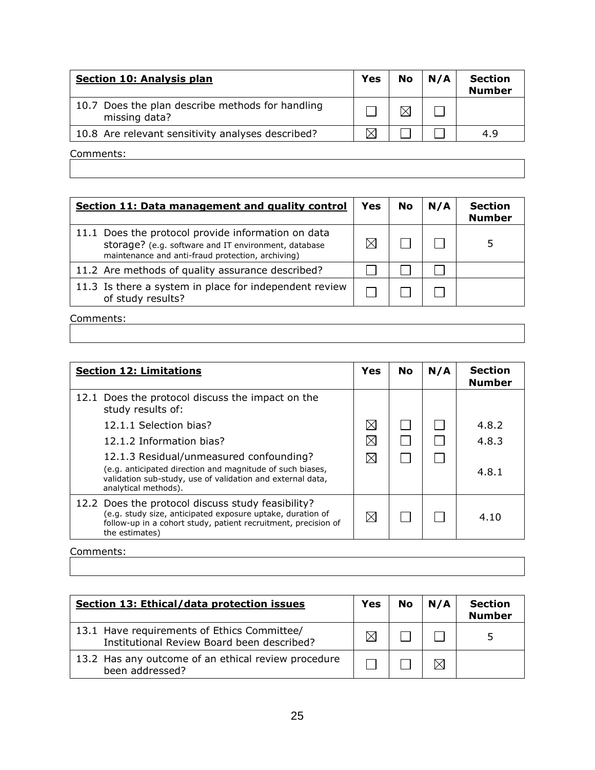| <b>Section 10: Analysis plan</b>                                  | <b>Yes</b> | <b>No</b> | N/A | <b>Section</b><br><b>Number</b> |
|-------------------------------------------------------------------|------------|-----------|-----|---------------------------------|
| 10.7 Does the plan describe methods for handling<br>missing data? |            | M         |     |                                 |
| 10.8 Are relevant sensitivity analyses described?                 |            |           |     | 4.9                             |
|                                                                   |            |           |     |                                 |

| Section 11: Data management and quality control                                                                                                                 | Yes | No | N/A | <b>Section</b><br><b>Number</b> |
|-----------------------------------------------------------------------------------------------------------------------------------------------------------------|-----|----|-----|---------------------------------|
| 11.1 Does the protocol provide information on data<br>storage? (e.g. software and IT environment, database<br>maintenance and anti-fraud protection, archiving) |     |    |     |                                 |
| 11.2 Are methods of quality assurance described?                                                                                                                |     |    |     |                                 |
| 11.3 Is there a system in place for independent review<br>of study results?                                                                                     |     |    |     |                                 |

Comments:

| <b>Section 12: Limitations</b>                                                                                                                                                                      | Yes         | <b>No</b> | N/A | <b>Section</b><br><b>Number</b> |
|-----------------------------------------------------------------------------------------------------------------------------------------------------------------------------------------------------|-------------|-----------|-----|---------------------------------|
| 12.1 Does the protocol discuss the impact on the<br>study results of:                                                                                                                               |             |           |     |                                 |
| 12.1.1 Selection bias?                                                                                                                                                                              | $\boxtimes$ |           |     | 4.8.2                           |
| 12.1.2 Information bias?                                                                                                                                                                            | $\boxtimes$ |           |     | 4.8.3                           |
| 12.1.3 Residual/unmeasured confounding?<br>(e.g. anticipated direction and magnitude of such biases,<br>validation sub-study, use of validation and external data,<br>analytical methods).          |             |           |     | 4.8.1                           |
| 12.2 Does the protocol discuss study feasibility?<br>(e.g. study size, anticipated exposure uptake, duration of<br>follow-up in a cohort study, patient recruitment, precision of<br>the estimates) | $\boxtimes$ |           |     | 4.10                            |

| Section 13: Ethical/data protection issues                                                | Yes       | No | N/A | <b>Section</b><br><b>Number</b> |
|-------------------------------------------------------------------------------------------|-----------|----|-----|---------------------------------|
| 13.1 Have requirements of Ethics Committee/<br>Institutional Review Board been described? | $\bowtie$ |    |     |                                 |
| 13.2 Has any outcome of an ethical review procedure<br>been addressed?                    |           |    |     |                                 |